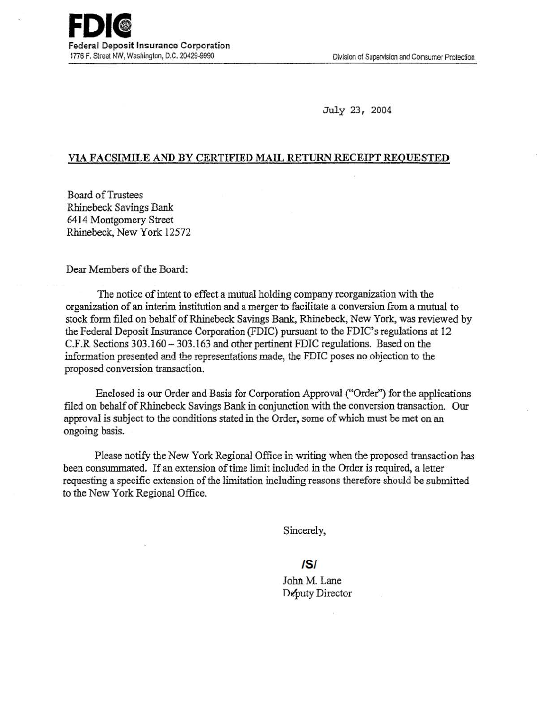July 23, 2004

## VIA FACSIMILE AND BY CERTIFIED MAIL RETURN RECEIPT REQUESTED

Board ofTrustees Rhinebeck Savings Bank 6414 Montgomery Street Rhinebeck, New York 12572

Dear Members of the Board:

The notice of intent to effect a mutual holding company reorganization with the organization of an interim institution and a merger to facilitate a conversion from a mutual to stock form filed on behalf of Rhinebeck Savings Bank, Rhinebeck, New York, was reviewed by the Federal Deposit Insurance Corporation (FDIC) pursuant to the FDIC's regulations at 12 C.F.R Sections 303.160 -303.163 and other pertinent FDIC regulations. Based on the information presented and the representations made, the FDIC poses no objection to the proposed conversion transaction.

Enclosed is our Order and Basis for Corporation Approval ("Order") for the applications filed on behalf of Rhinebeck Savings Bank in conjunction with the conversion transaction. Our approval is subject to the conditions stated in the Order, some of which must be met on an ongoing basis.

Please notify the New York Regional Office in writing when the proposed transaction has been consummated. If an extension of time limit included in the Order is required, a letter requesting a specific extension of the limitation including reasons therefore should be submitted to the New York Regional Office.

Sincerely,

IS/

John M. Lane Deputy Director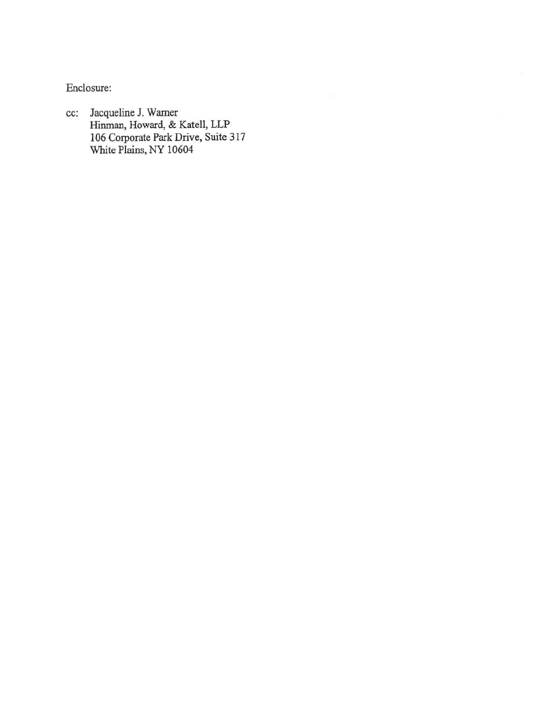Enclosure:

cc: Jacqueline J. Warner Hinman, Howard, & Katell, LLP 106 Corporate Park Drive, Suite 317 White Plains, NY 10604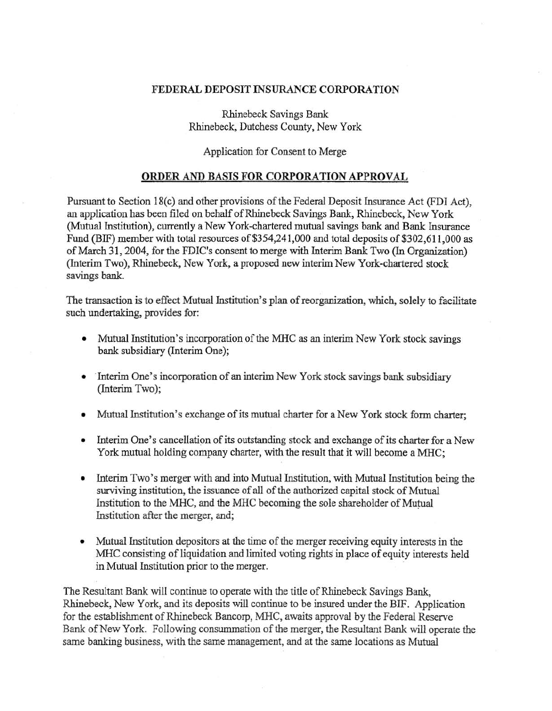## FEDERAL DEPOSIT INSURANCE CORPORATION

Rhinebeck Savings Bank Rhinebeck, Dutchess County, New York

## Application for Consent to Merge

## ORDER AND BASIS FOR CORPORATION APPROVAL

Pursuant to Section 18(c) and other provisions of the Federal Deposit Insurance Act (FDI Act), an application has been filed on behalf of Rhinebeck Savings Bank, Rhinebeck, New York (Mutual Institution), currently a New York-chartered mutual savings bank and Bank Insurance Fund (BIF) member with total resources of \$354,241,000 and total deposits of \$302,611,000 as of March 31, 2004, for the FDIC's consent to merge with Interim Bank Two (In Organization) (Interim Two), Rhinebeck, New York, a proposed new interim New York-chartered stock savings bank.

The transaction is to effect Mutual Institution's plan of reorganization, which, solely to facilitate such undertaking, provides for:

- Mutual Institution's incorporation of the MHC as an interim New York stock savings bank subsidiary (Interim One);
- Interim One's incorporation of an interim New York stock savings bank subsidiary (Interim Two);
- Mutual Institution's exchange of its mutual charter for a New York stock form charter;
- Interim One's cancellation of its outstanding stock and exchange of its charter for a New York mutual holding company charter, with the result that it will become a MHC;
- Interim Two's merger with and into Mutual Institution, with Mutual Institution being the surviving institution, the issuance of all of the authorized capital stock of Mutual Institution to the MHC, and the MHC becoming the sole shareholder of Mutual Institution after the merger, and;
- Mutual Institution depositors at the time of the merger receiving equity interests in the MHC consisting of liquidation and limited voting rights in place of equity interests held in Mutual Institution prior to the merger.

The Resultant Bank will continue to operate with the title of Rhinebeck Savings Bank, Rhinebeck, New York, and its deposits will continue to be insured under the BIF. Application for the establishment of Rhinebeck Bancorp, MHC, awaits approval by the Federal Reserve Bank of New York. Following consummation of the merger, the Resultant Bank will operate the same banking business, with the same management, and at the same locations as Mutual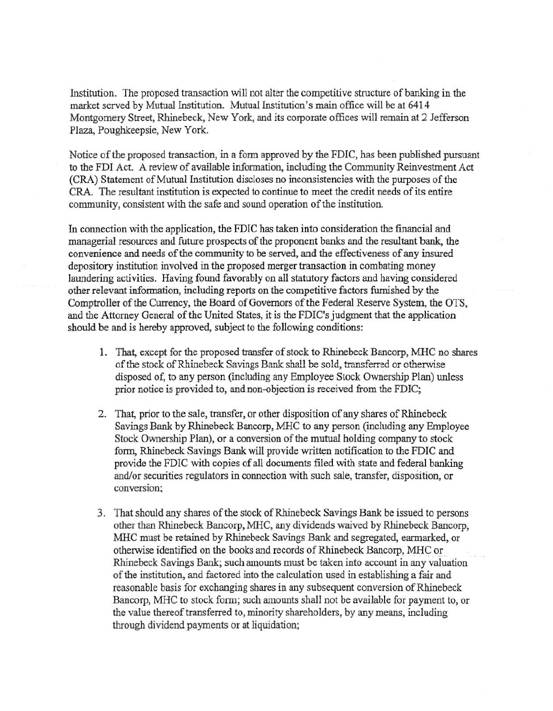Institution. The proposed transaction will not alter the competitive structure of banking in the market served by Mutual Institution. Mutual Institution's main office will be at 6414 Montgomery Street, Rhinebeck, New York, and its corporate offices will remain at 2 Jefferson Plaza, Poughkeepsie, New York.

Notice of the proposed transaction, in a fonn approved by the FDIC, has been published pursuant to the FDI Act. A review of available infonnation, including the Community Reinvestment Act (CRA) Statement of Mutual Institution discloses no inconsistencies with the purposes of the CRA. The resultant institution is expected to continue to meet the credit needs of its entire community, consistent with the safe and sound operation of the institution.

In connection with the application, the FDIC has taken into consideration the financial and managerial resources and future prospects of the proponent banks and the resultant bank, the convenience and needs of the community to be served, and the effectiveness of any insured depository institution involved in the proposed merger transaction in combating money laundering activities. Having found favorably on all statutory factors and having considered other relevant information, including reports on the competitive factors furnished by the Comptroller of the Currency, the Board of Governors of the Federal Reserve System, the OTS, and the Attorney General of the United States, it is the FDIC's judgment that the application should be and is hereby approved, subject to the following conditions:

- 1. That, except for the proposed transfer of stock to Rhinebeck Bancorp, MHC no shares of the stock of Rhinebeck Savings Bank shall be sold, transferred or otherwise disposed of, to any person (including any Employee Stock Ownership Plan) unless prior notice is provided to, and non-objection is received from the FDIC;
- 2. That, prior to the sale, transfer, or other disposition of any shares of Rhinebeck Savings Bank by Rhinebeck Bancorp, MHC to any person (including any Employee Stock Ownership Plan), or a conversion of the mutual holding company to stock fonn, Rhinebeck Savings Bank will provide written notification to the FDIC and provide the FDIC with copies of all documents filed with state and federal banking and/or securities regulators in connection with such sale, transfer, disposition, or conversion;
- 3. That should any shares of the stock of Rhinebeck Savings Bank be issued to persons other than Rhinebeck Bancorp, MHC, any dividends waived by Rhinebeck Bancorp, MHC must be retained by Rhinebeck Savings Bank and segregated, earmarked, or otherwise identified on the books and records of Rhinebeck Bancorp, MHC or Rhinebeck Savings Bank; such amounts must be taken into account in any valuation of the institution, and factored into the calculation used in establishing a fair and reasonable basis for exchanging shares in any subsequent conversion of Rhinebeck Bancorp, MHC to stock form; such amounts shall not be available for payment to, or the value thereof transferred to, minority shareholders, by any means, including through dividend payments or at liquidation;